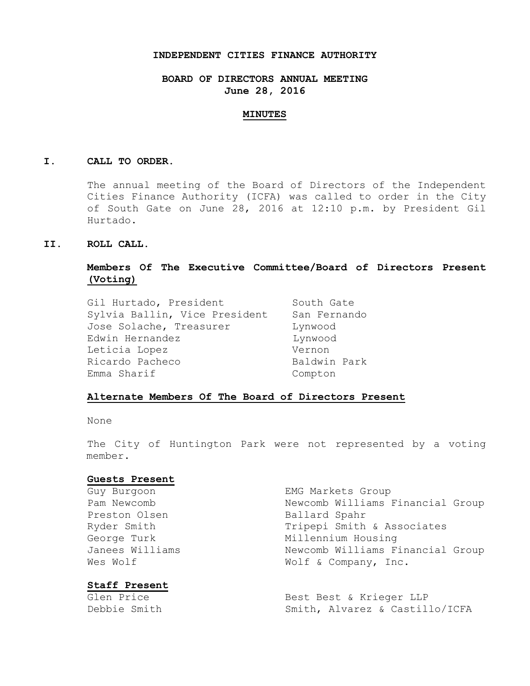### **INDEPENDENT CITIES FINANCE AUTHORITY**

## **BOARD OF DIRECTORS ANNUAL MEETING June 28, 2016**

#### **MINUTES**

### **I. CALL TO ORDER.**

The annual meeting of the Board of Directors of the Independent Cities Finance Authority (ICFA) was called to order in the City of South Gate on June 28, 2016 at 12:10 p.m. by President Gil Hurtado.

## **II. ROLL CALL.**

# **Members Of The Executive Committee/Board of Directors Present (Voting)**

| Gil Hurtado, President        | South Gate   |
|-------------------------------|--------------|
| Sylvia Ballin, Vice President | San Fernando |
| Jose Solache, Treasurer       | Lynwood      |
| Edwin Hernandez               | Lynwood      |
| Leticia Lopez                 | Vernon       |
| Ricardo Pacheco               | Baldwin Park |
| Emma Sharif                   | Compton      |

### **Alternate Members Of The Board of Directors Present**

None

The City of Huntington Park were not represented by a voting member.

#### **Guests Present**

Preston Olsen Ballard Spahr

## **Staff Present**

Guy Burgoon **EMG** Markets Group Pam Newcomb Newcomb Williams Financial Group Ryder Smith Tripepi Smith & Associates George Turk Millennium Housing Janees Williams Mewcomb Williams Financial Group Wes Wolf  $W$  Wolf & Company, Inc.

Glen Price **Best Best & Krieger LLP** Debbie Smith Smith, Alvarez & Castillo/ICFA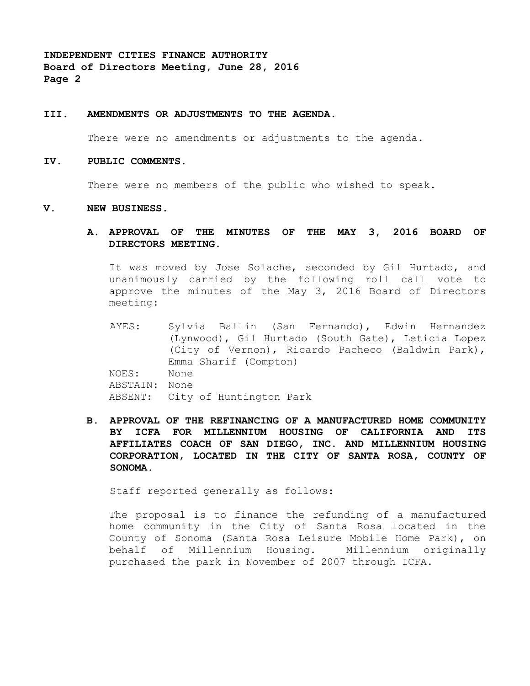## **III. AMENDMENTS OR ADJUSTMENTS TO THE AGENDA.**

There were no amendments or adjustments to the agenda.

#### **IV. PUBLIC COMMENTS.**

There were no members of the public who wished to speak.

#### **V. NEW BUSINESS.**

## **A. APPROVAL OF THE MINUTES OF THE MAY 3, 2016 BOARD OF DIRECTORS MEETING.**

It was moved by Jose Solache, seconded by Gil Hurtado, and unanimously carried by the following roll call vote to approve the minutes of the May 3, 2016 Board of Directors meeting:

AYES: Sylvia Ballin (San Fernando), Edwin Hernandez (Lynwood), Gil Hurtado (South Gate), Leticia Lopez (City of Vernon), Ricardo Pacheco (Baldwin Park), Emma Sharif (Compton) NOES: None ABSTAIN: None ABSENT: City of Huntington Park

**B. APPROVAL OF THE REFINANCING OF A MANUFACTURED HOME COMMUNITY BY ICFA FOR MILLENNIUM HOUSING OF CALIFORNIA AND ITS AFFILIATES COACH OF SAN DIEGO, INC. AND MILLENNIUM HOUSING CORPORATION, LOCATED IN THE CITY OF SANTA ROSA, COUNTY OF SONOMA.**

Staff reported generally as follows:

The proposal is to finance the refunding of a manufactured home community in the City of Santa Rosa located in the County of Sonoma (Santa Rosa Leisure Mobile Home Park), on behalf of Millennium Housing. Millennium originally purchased the park in November of 2007 through ICFA.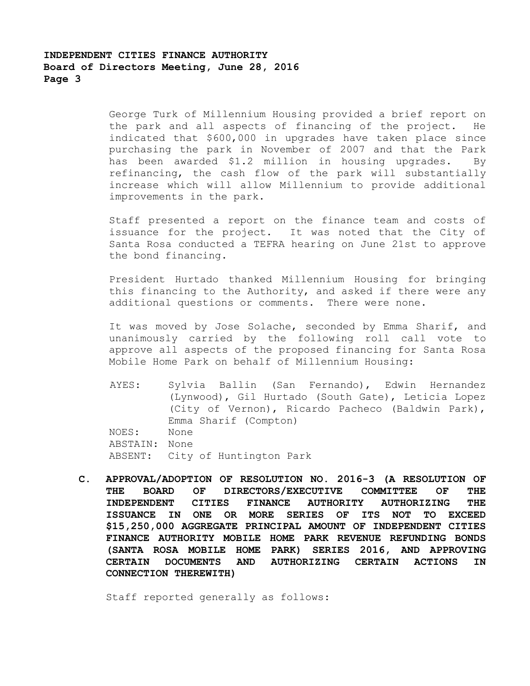George Turk of Millennium Housing provided a brief report on the park and all aspects of financing of the project. He indicated that \$600,000 in upgrades have taken place since purchasing the park in November of 2007 and that the Park has been awarded \$1.2 million in housing upgrades. By refinancing, the cash flow of the park will substantially increase which will allow Millennium to provide additional improvements in the park.

Staff presented a report on the finance team and costs of issuance for the project. It was noted that the City of Santa Rosa conducted a TEFRA hearing on June 21st to approve the bond financing.

President Hurtado thanked Millennium Housing for bringing this financing to the Authority, and asked if there were any additional questions or comments. There were none.

It was moved by Jose Solache, seconded by Emma Sharif, and unanimously carried by the following roll call vote to approve all aspects of the proposed financing for Santa Rosa Mobile Home Park on behalf of Millennium Housing:

- AYES: Sylvia Ballin (San Fernando), Edwin Hernandez (Lynwood), Gil Hurtado (South Gate), Leticia Lopez (City of Vernon), Ricardo Pacheco (Baldwin Park), Emma Sharif (Compton) NOES: None ABSTAIN: None ABSENT: City of Huntington Park
- **C. APPROVAL/ADOPTION OF RESOLUTION NO. 2016-3 (A RESOLUTION OF THE BOARD OF DIRECTORS/EXECUTIVE COMMITTEE OF THE INDEPENDENT CITIES FINANCE AUTHORITY AUTHORIZING THE ISSUANCE IN ONE OR MORE SERIES OF ITS NOT TO EXCEED \$15,250,000 AGGREGATE PRINCIPAL AMOUNT OF INDEPENDENT CITIES FINANCE AUTHORITY MOBILE HOME PARK REVENUE REFUNDING BONDS (SANTA ROSA MOBILE HOME PARK) SERIES 2016, AND APPROVING CERTAIN DOCUMENTS AND AUTHORIZING CERTAIN ACTIONS IN CONNECTION THEREWITH)**

Staff reported generally as follows: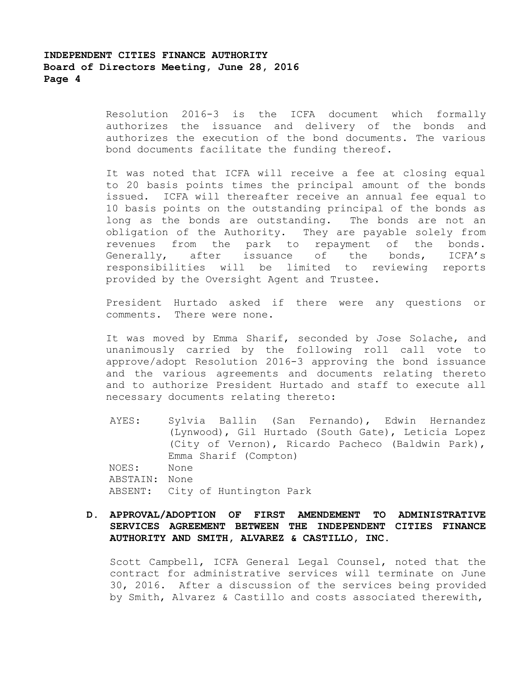Resolution 2016-3 is the ICFA document which formally authorizes the issuance and delivery of the bonds and authorizes the execution of the bond documents. The various bond documents facilitate the funding thereof.

It was noted that ICFA will receive a fee at closing equal to 20 basis points times the principal amount of the bonds issued. ICFA will thereafter receive an annual fee equal to 10 basis points on the outstanding principal of the bonds as long as the bonds are outstanding. The bonds are not an obligation of the Authority. They are payable solely from revenues from the park to repayment of the bonds. Generally, after issuance of the bonds, ICFA's responsibilities will be limited to reviewing reports provided by the Oversight Agent and Trustee.

President Hurtado asked if there were any questions or comments. There were none.

It was moved by Emma Sharif, seconded by Jose Solache, and unanimously carried by the following roll call vote to approve/adopt Resolution 2016-3 approving the bond issuance and the various agreements and documents relating thereto and to authorize President Hurtado and staff to execute all necessary documents relating thereto:

AYES: Sylvia Ballin (San Fernando), Edwin Hernandez (Lynwood), Gil Hurtado (South Gate), Leticia Lopez (City of Vernon), Ricardo Pacheco (Baldwin Park), Emma Sharif (Compton) NOES: None ABSTAIN: None ABSENT: City of Huntington Park

# **D. APPROVAL/ADOPTION OF FIRST AMENDEMENT TO ADMINISTRATIVE SERVICES AGREEMENT BETWEEN THE INDEPENDENT CITIES FINANCE AUTHORITY AND SMITH, ALVAREZ & CASTILLO, INC.**

Scott Campbell, ICFA General Legal Counsel, noted that the contract for administrative services will terminate on June 30, 2016. After a discussion of the services being provided by Smith, Alvarez & Castillo and costs associated therewith,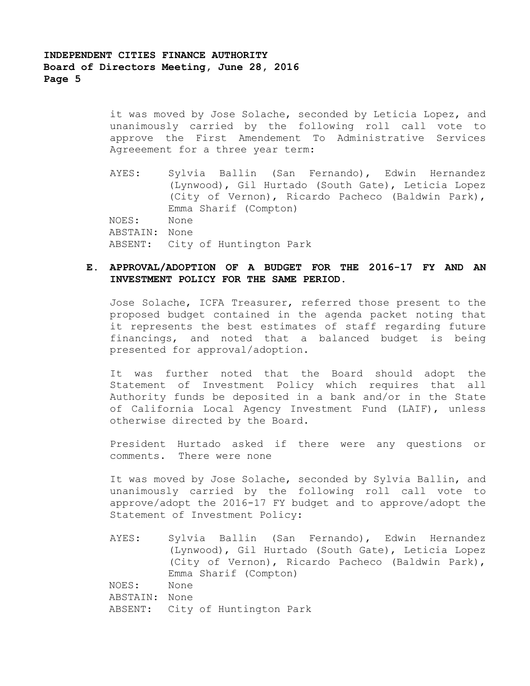it was moved by Jose Solache, seconded by Leticia Lopez, and unanimously carried by the following roll call vote to approve the First Amendement To Administrative Services Agreeement for a three year term:

AYES: Sylvia Ballin (San Fernando), Edwin Hernandez (Lynwood), Gil Hurtado (South Gate), Leticia Lopez (City of Vernon), Ricardo Pacheco (Baldwin Park), Emma Sharif (Compton) NOES: None ABSTAIN: None ABSENT: City of Huntington Park

## **E. APPROVAL/ADOPTION OF A BUDGET FOR THE 2016-17 FY AND AN INVESTMENT POLICY FOR THE SAME PERIOD.**

Jose Solache, ICFA Treasurer, referred those present to the proposed budget contained in the agenda packet noting that it represents the best estimates of staff regarding future financings, and noted that a balanced budget is being presented for approval/adoption.

It was further noted that the Board should adopt the Statement of Investment Policy which requires that all Authority funds be deposited in a bank and/or in the State of California Local Agency Investment Fund (LAIF), unless otherwise directed by the Board.

President Hurtado asked if there were any questions or comments. There were none

It was moved by Jose Solache, seconded by Sylvia Ballin, and unanimously carried by the following roll call vote to approve/adopt the 2016-17 FY budget and to approve/adopt the Statement of Investment Policy:

AYES: Sylvia Ballin (San Fernando), Edwin Hernandez (Lynwood), Gil Hurtado (South Gate), Leticia Lopez (City of Vernon), Ricardo Pacheco (Baldwin Park), Emma Sharif (Compton) NOES: None ABSTAIN: None ABSENT: City of Huntington Park